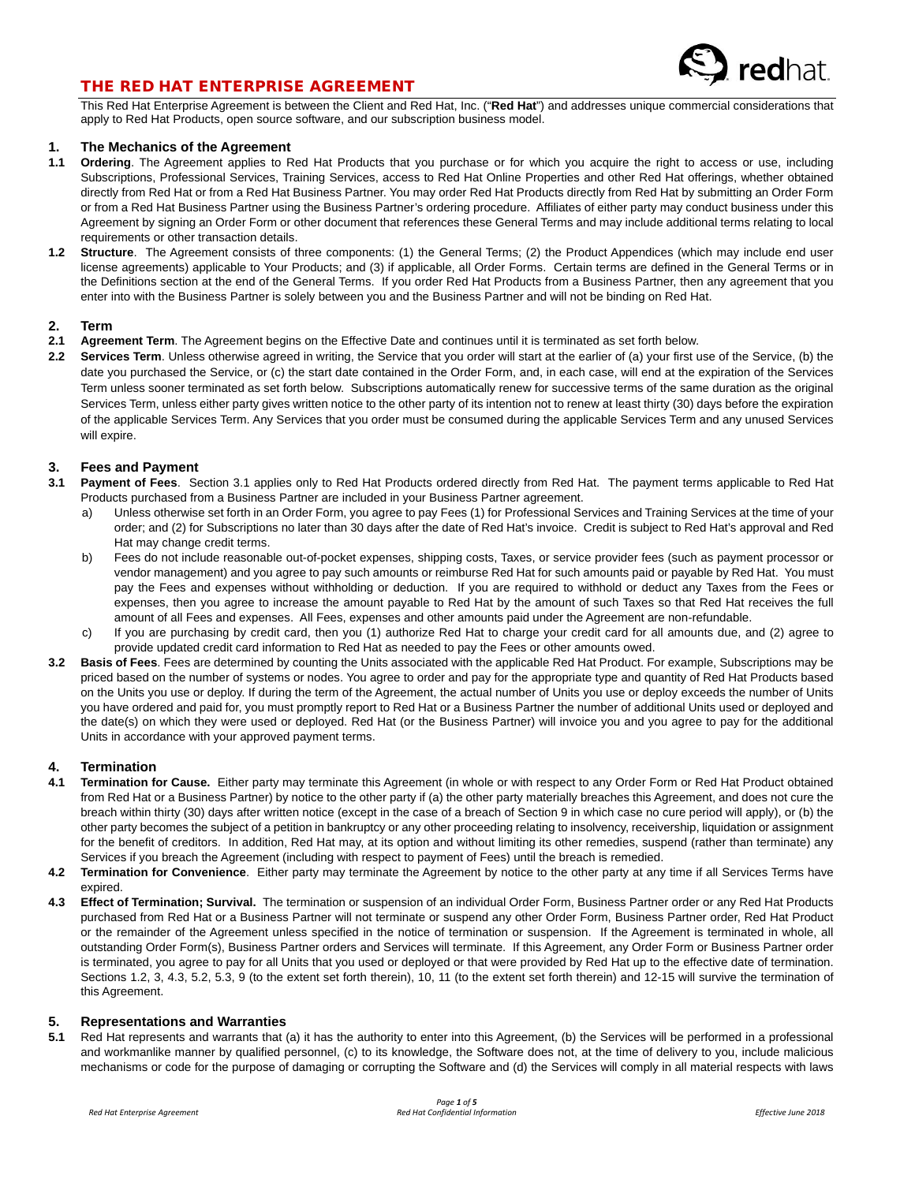

### THE RED HAT ENTERPRISE AGREEMENT

This Red Hat Enterprise Agreement is between the Client and Red Hat, Inc. ("**Red Hat**") and addresses unique commercial considerations that apply to Red Hat Products, open source software, and our subscription business model.

# **1. The Mechanics of the Agreement**

- **1.1 Ordering**. The Agreement applies to Red Hat Products that you purchase or for which you acquire the right to access or use, including Subscriptions, Professional Services, Training Services, access to Red Hat Online Properties and other Red Hat offerings, whether obtained directly from Red Hat or from a Red Hat Business Partner. You may order Red Hat Products directly from Red Hat by submitting an Order Form or from a Red Hat Business Partner using the Business Partner's ordering procedure. Affiliates of either party may conduct business under this Agreement by signing an Order Form or other document that references these General Terms and may include additional terms relating to local requirements or other transaction details.
- **1.2 Structure**. The Agreement consists of three components: (1) the General Terms; (2) the Product Appendices (which may include end user license agreements) applicable to Your Products; and (3) if applicable, all Order Forms. Certain terms are defined in the General Terms or in the Definitions section at the end of the General Terms. If you order Red Hat Products from a Business Partner, then any agreement that you enter into with the Business Partner is solely between you and the Business Partner and will not be binding on Red Hat.

## **2. Term**

- **2.1 Agreement Term**. The Agreement begins on the Effective Date and continues until it is terminated as set forth below.
- **2.2 Services Term**. Unless otherwise agreed in writing, the Service that you order will start at the earlier of (a) your first use of the Service, (b) the date you purchased the Service, or (c) the start date contained in the Order Form, and, in each case, will end at the expiration of the Services Term unless sooner terminated as set forth below. Subscriptions automatically renew for successive terms of the same duration as the original Services Term, unless either party gives written notice to the other party of its intention not to renew at least thirty (30) days before the expiration of the applicable Services Term. Any Services that you order must be consumed during the applicable Services Term and any unused Services will expire.

#### **3. Fees and Payment**

- **3.1 Payment of Fees**. Section 3.1 applies only to Red Hat Products ordered directly from Red Hat. The payment terms applicable to Red Hat Products purchased from a Business Partner are included in your Business Partner agreement.
	- a) Unless otherwise set forth in an Order Form, you agree to pay Fees (1) for Professional Services and Training Services at the time of your order; and (2) for Subscriptions no later than 30 days after the date of Red Hat's invoice. Credit is subject to Red Hat's approval and Red Hat may change credit terms.
	- b) Fees do not include reasonable out-of-pocket expenses, shipping costs, Taxes, or service provider fees (such as payment processor or vendor management) and you agree to pay such amounts or reimburse Red Hat for such amounts paid or payable by Red Hat. You must pay the Fees and expenses without withholding or deduction. If you are required to withhold or deduct any Taxes from the Fees or expenses, then you agree to increase the amount payable to Red Hat by the amount of such Taxes so that Red Hat receives the full amount of all Fees and expenses. All Fees, expenses and other amounts paid under the Agreement are non-refundable.
	- c) If you are purchasing by credit card, then you (1) authorize Red Hat to charge your credit card for all amounts due, and (2) agree to provide updated credit card information to Red Hat as needed to pay the Fees or other amounts owed.
- **3.2 Basis of Fees**. Fees are determined by counting the Units associated with the applicable Red Hat Product. For example, Subscriptions may be priced based on the number of systems or nodes. You agree to order and pay for the appropriate type and quantity of Red Hat Products based on the Units you use or deploy. If during the term of the Agreement, the actual number of Units you use or deploy exceeds the number of Units you have ordered and paid for, you must promptly report to Red Hat or a Business Partner the number of additional Units used or deployed and the date(s) on which they were used or deployed. Red Hat (or the Business Partner) will invoice you and you agree to pay for the additional Units in accordance with your approved payment terms.

## **4. Termination**

- **4.1 Termination for Cause.** Either party may terminate this Agreement (in whole or with respect to any Order Form or Red Hat Product obtained from Red Hat or a Business Partner) by notice to the other party if (a) the other party materially breaches this Agreement, and does not cure the breach within thirty (30) days after written notice (except in the case of a breach of Section 9 in which case no cure period will apply), or (b) the other party becomes the subject of a petition in bankruptcy or any other proceeding relating to insolvency, receivership, liquidation or assignment for the benefit of creditors. In addition, Red Hat may, at its option and without limiting its other remedies, suspend (rather than terminate) any Services if you breach the Agreement (including with respect to payment of Fees) until the breach is remedied.
- **4.2 Termination for Convenience**. Either party may terminate the Agreement by notice to the other party at any time if all Services Terms have expired.
- **4.3 Effect of Termination; Survival.** The termination or suspension of an individual Order Form, Business Partner order or any Red Hat Products purchased from Red Hat or a Business Partner will not terminate or suspend any other Order Form, Business Partner order, Red Hat Product or the remainder of the Agreement unless specified in the notice of termination or suspension. If the Agreement is terminated in whole, all outstanding Order Form(s), Business Partner orders and Services will terminate. If this Agreement, any Order Form or Business Partner order is terminated, you agree to pay for all Units that you used or deployed or that were provided by Red Hat up to the effective date of termination. Sections 1.2, 3, 4.3, 5.2, 5.3, 9 (to the extent set forth therein), 10, 11 (to the extent set forth therein) and 12-15 will survive the termination of this Agreement.

#### **5. Representations and Warranties**

**5.1** Red Hat represents and warrants that (a) it has the authority to enter into this Agreement, (b) the Services will be performed in a professional and workmanlike manner by qualified personnel, (c) to its knowledge, the Software does not, at the time of delivery to you, include malicious mechanisms or code for the purpose of damaging or corrupting the Software and (d) the Services will comply in all material respects with laws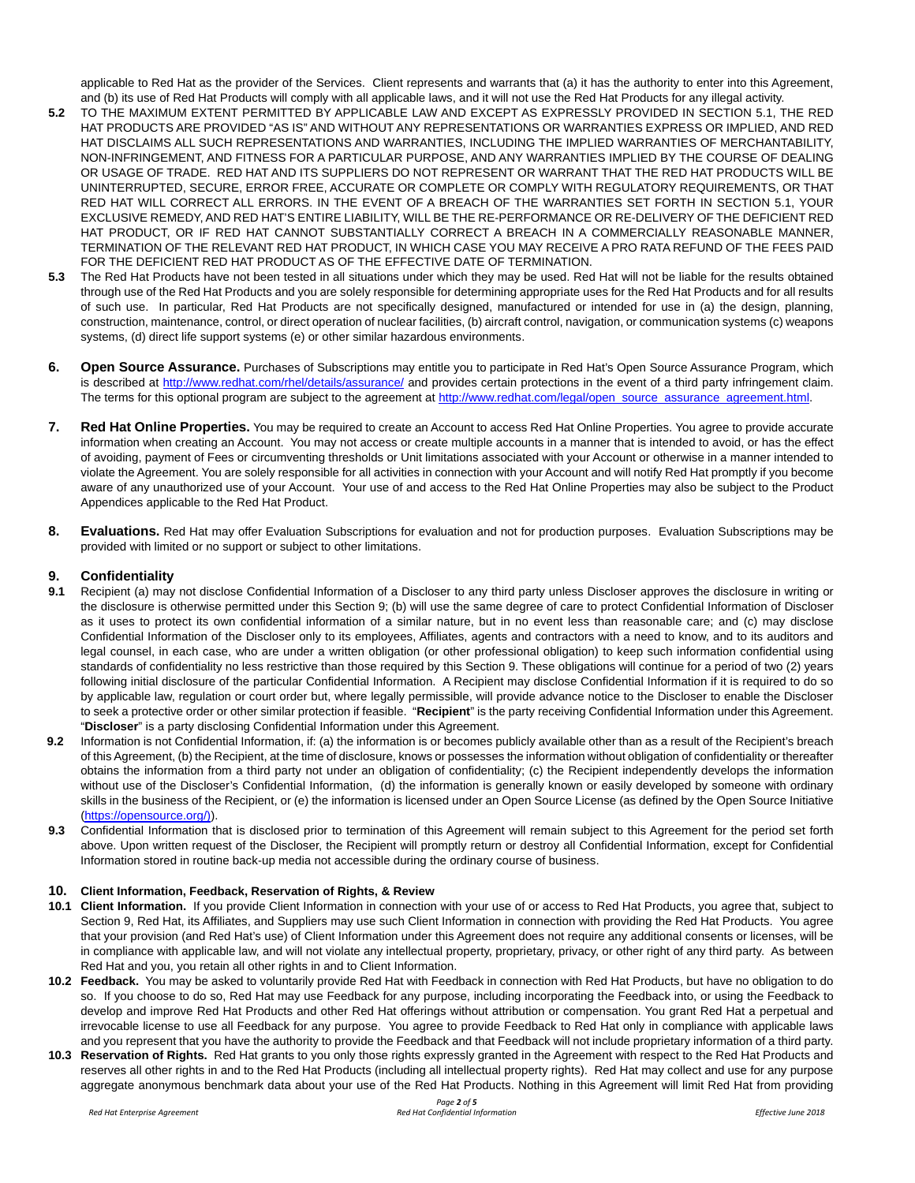applicable to Red Hat as the provider of the Services. Client represents and warrants that (a) it has the authority to enter into this Agreement, and (b) its use of Red Hat Products will comply with all applicable laws, and it will not use the Red Hat Products for any illegal activity.

- **5.2** TO THE MAXIMUM EXTENT PERMITTED BY APPLICABLE LAW AND EXCEPT AS EXPRESSLY PROVIDED IN SECTION 5.1, THE RED HAT PRODUCTS ARE PROVIDED "AS IS" AND WITHOUT ANY REPRESENTATIONS OR WARRANTIES EXPRESS OR IMPLIED, AND RED HAT DISCLAIMS ALL SUCH REPRESENTATIONS AND WARRANTIES, INCLUDING THE IMPLIED WARRANTIES OF MERCHANTABILITY, NON-INFRINGEMENT, AND FITNESS FOR A PARTICULAR PURPOSE, AND ANY WARRANTIES IMPLIED BY THE COURSE OF DEALING OR USAGE OF TRADE. RED HAT AND ITS SUPPLIERS DO NOT REPRESENT OR WARRANT THAT THE RED HAT PRODUCTS WILL BE UNINTERRUPTED, SECURE, ERROR FREE, ACCURATE OR COMPLETE OR COMPLY WITH REGULATORY REQUIREMENTS, OR THAT RED HAT WILL CORRECT ALL ERRORS. IN THE EVENT OF A BREACH OF THE WARRANTIES SET FORTH IN SECTION 5.1, YOUR EXCLUSIVE REMEDY, AND RED HAT'S ENTIRE LIABILITY, WILL BE THE RE-PERFORMANCE OR RE-DELIVERY OF THE DEFICIENT RED HAT PRODUCT, OR IF RED HAT CANNOT SUBSTANTIALLY CORRECT A BREACH IN A COMMERCIALLY REASONABLE MANNER, TERMINATION OF THE RELEVANT RED HAT PRODUCT, IN WHICH CASE YOU MAY RECEIVE A PRO RATA REFUND OF THE FEES PAID FOR THE DEFICIENT RED HAT PRODUCT AS OF THE EFFECTIVE DATE OF TERMINATION.
- **5.3** The Red Hat Products have not been tested in all situations under which they may be used. Red Hat will not be liable for the results obtained through use of the Red Hat Products and you are solely responsible for determining appropriate uses for the Red Hat Products and for all results of such use. In particular, Red Hat Products are not specifically designed, manufactured or intended for use in (a) the design, planning, construction, maintenance, control, or direct operation of nuclear facilities, (b) aircraft control, navigation, or communication systems (c) weapons systems, (d) direct life support systems (e) or other similar hazardous environments.
- **6. Open Source Assurance.** Purchases of Subscriptions may entitle you to participate in Red Hat's Open Source Assurance Program, which is described at<http://www.redhat.com/rhel/details/assurance/> and provides certain protections in the event of a third party infringement claim. The terms for this optional program are subject to the agreement a[t http://www.redhat.com/legal/open\\_source\\_assurance\\_agreement.html.](http://www.redhat.com/legal/open_source_assurance_agreement.html)
- **7. Red Hat Online Properties.** You may be required to create an Account to access Red Hat Online Properties. You agree to provide accurate information when creating an Account. You may not access or create multiple accounts in a manner that is intended to avoid, or has the effect of avoiding, payment of Fees or circumventing thresholds or Unit limitations associated with your Account or otherwise in a manner intended to violate the Agreement. You are solely responsible for all activities in connection with your Account and will notify Red Hat promptly if you become aware of any unauthorized use of your Account. Your use of and access to the Red Hat Online Properties may also be subject to the Product Appendices applicable to the Red Hat Product.
- **8. Evaluations.** Red Hat may offer Evaluation Subscriptions for evaluation and not for production purposes. Evaluation Subscriptions may be provided with limited or no support or subject to other limitations.

### **9. Confidentiality**

- **9.1** Recipient (a) may not disclose Confidential Information of a Discloser to any third party unless Discloser approves the disclosure in writing or the disclosure is otherwise permitted under this Section 9; (b) will use the same degree of care to protect Confidential Information of Discloser as it uses to protect its own confidential information of a similar nature, but in no event less than reasonable care; and (c) may disclose Confidential Information of the Discloser only to its employees, Affiliates, agents and contractors with a need to know, and to its auditors and legal counsel, in each case, who are under a written obligation (or other professional obligation) to keep such information confidential using standards of confidentiality no less restrictive than those required by this Section 9. These obligations will continue for a period of two (2) years following initial disclosure of the particular Confidential Information. A Recipient may disclose Confidential Information if it is required to do so by applicable law, regulation or court order but, where legally permissible, will provide advance notice to the Discloser to enable the Discloser to seek a protective order or other similar protection if feasible. "**Recipient**" is the party receiving Confidential Information under this Agreement. "**Discloser**" is a party disclosing Confidential Information under this Agreement.
- **9.2** Information is not Confidential Information, if: (a) the information is or becomes publicly available other than as a result of the Recipient's breach of this Agreement, (b) the Recipient, at the time of disclosure, knows or possesses the information without obligation of confidentiality or thereafter obtains the information from a third party not under an obligation of confidentiality; (c) the Recipient independently develops the information without use of the Discloser's Confidential Information, (d) the information is generally known or easily developed by someone with ordinary skills in the business of the Recipient, or (e) the information is licensed under an Open Source License (as defined by the Open Source Initiative [\(https://opensource.org/\)\)](https://opensource.org/).
- **9.3** Confidential Information that is disclosed prior to termination of this Agreement will remain subject to this Agreement for the period set forth above. Upon written request of the Discloser, the Recipient will promptly return or destroy all Confidential Information, except for Confidential Information stored in routine back-up media not accessible during the ordinary course of business.

#### **10. Client Information, Feedback, Reservation of Rights, & Review**

- **10.1 Client Information.** If you provide Client Information in connection with your use of or access to Red Hat Products, you agree that, subject to Section 9, Red Hat, its Affiliates, and Suppliers may use such Client Information in connection with providing the Red Hat Products. You agree that your provision (and Red Hat's use) of Client Information under this Agreement does not require any additional consents or licenses, will be in compliance with applicable law, and will not violate any intellectual property, proprietary, privacy, or other right of any third party. As between Red Hat and you, you retain all other rights in and to Client Information.
- **10.2 Feedback.** You may be asked to voluntarily provide Red Hat with Feedback in connection with Red Hat Products, but have no obligation to do so. If you choose to do so, Red Hat may use Feedback for any purpose, including incorporating the Feedback into, or using the Feedback to develop and improve Red Hat Products and other Red Hat offerings without attribution or compensation. You grant Red Hat a perpetual and irrevocable license to use all Feedback for any purpose. You agree to provide Feedback to Red Hat only in compliance with applicable laws and you represent that you have the authority to provide the Feedback and that Feedback will not include proprietary information of a third party.
- **10.3 Reservation of Rights.** Red Hat grants to you only those rights expressly granted in the Agreement with respect to the Red Hat Products and reserves all other rights in and to the Red Hat Products (including all intellectual property rights). Red Hat may collect and use for any purpose aggregate anonymous benchmark data about your use of the Red Hat Products. Nothing in this Agreement will limit Red Hat from providing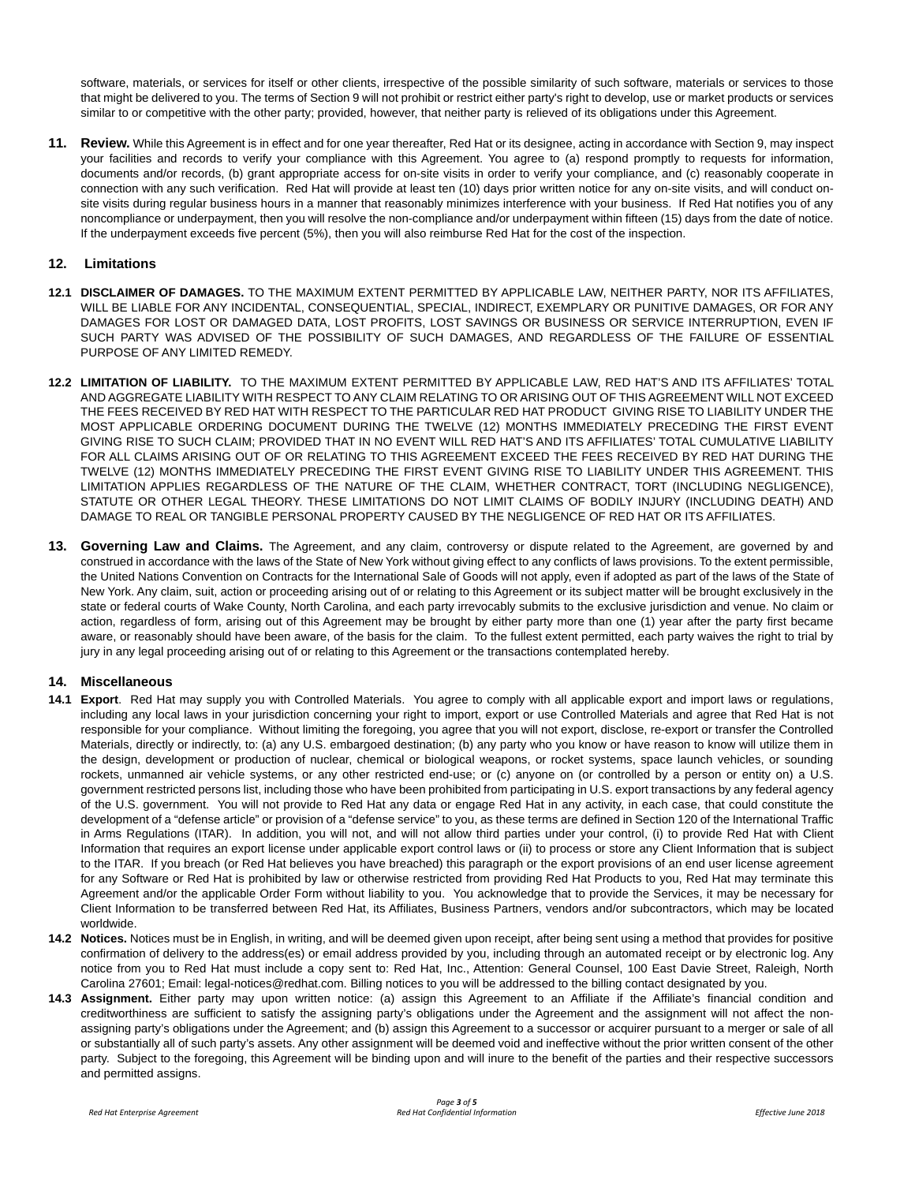software, materials, or services for itself or other clients, irrespective of the possible similarity of such software, materials or services to those that might be delivered to you. The terms of Section 9 will not prohibit or restrict either party's right to develop, use or market products or services similar to or competitive with the other party; provided, however, that neither party is relieved of its obligations under this Agreement.

**11. Review.** While this Agreement is in effect and for one year thereafter, Red Hat or its designee, acting in accordance with Section 9, may inspect your facilities and records to verify your compliance with this Agreement. You agree to (a) respond promptly to requests for information, documents and/or records, (b) grant appropriate access for on-site visits in order to verify your compliance, and (c) reasonably cooperate in connection with any such verification. Red Hat will provide at least ten (10) days prior written notice for any on-site visits, and will conduct onsite visits during regular business hours in a manner that reasonably minimizes interference with your business. If Red Hat notifies you of any noncompliance or underpayment, then you will resolve the non-compliance and/or underpayment within fifteen (15) days from the date of notice. If the underpayment exceeds five percent (5%), then you will also reimburse Red Hat for the cost of the inspection.

### **12. Limitations**

- **12.1 DISCLAIMER OF DAMAGES.** TO THE MAXIMUM EXTENT PERMITTED BY APPLICABLE LAW, NEITHER PARTY, NOR ITS AFFILIATES, WILL BE LIABLE FOR ANY INCIDENTAL, CONSEQUENTIAL, SPECIAL, INDIRECT, EXEMPLARY OR PUNITIVE DAMAGES, OR FOR ANY DAMAGES FOR LOST OR DAMAGED DATA, LOST PROFITS, LOST SAVINGS OR BUSINESS OR SERVICE INTERRUPTION, EVEN IF SUCH PARTY WAS ADVISED OF THE POSSIBILITY OF SUCH DAMAGES, AND REGARDLESS OF THE FAILURE OF ESSENTIAL PURPOSE OF ANY LIMITED REMEDY.
- **12.2 LIMITATION OF LIABILITY.** TO THE MAXIMUM EXTENT PERMITTED BY APPLICABLE LAW, RED HAT'S AND ITS AFFILIATES' TOTAL AND AGGREGATE LIABILITY WITH RESPECT TO ANY CLAIM RELATING TO OR ARISING OUT OF THIS AGREEMENT WILL NOT EXCEED THE FEES RECEIVED BY RED HAT WITH RESPECT TO THE PARTICULAR RED HAT PRODUCT GIVING RISE TO LIABILITY UNDER THE MOST APPLICABLE ORDERING DOCUMENT DURING THE TWELVE (12) MONTHS IMMEDIATELY PRECEDING THE FIRST EVENT GIVING RISE TO SUCH CLAIM; PROVIDED THAT IN NO EVENT WILL RED HAT'S AND ITS AFFILIATES' TOTAL CUMULATIVE LIABILITY FOR ALL CLAIMS ARISING OUT OF OR RELATING TO THIS AGREEMENT EXCEED THE FEES RECEIVED BY RED HAT DURING THE TWELVE (12) MONTHS IMMEDIATELY PRECEDING THE FIRST EVENT GIVING RISE TO LIABILITY UNDER THIS AGREEMENT. THIS LIMITATION APPLIES REGARDLESS OF THE NATURE OF THE CLAIM, WHETHER CONTRACT, TORT (INCLUDING NEGLIGENCE), STATUTE OR OTHER LEGAL THEORY. THESE LIMITATIONS DO NOT LIMIT CLAIMS OF BODILY INJURY (INCLUDING DEATH) AND DAMAGE TO REAL OR TANGIBLE PERSONAL PROPERTY CAUSED BY THE NEGLIGENCE OF RED HAT OR ITS AFFILIATES.
- **13. Governing Law and Claims.** The Agreement, and any claim, controversy or dispute related to the Agreement, are governed by and construed in accordance with the laws of the State of New York without giving effect to any conflicts of laws provisions. To the extent permissible, the United Nations Convention on Contracts for the International Sale of Goods will not apply, even if adopted as part of the laws of the State of New York. Any claim, suit, action or proceeding arising out of or relating to this Agreement or its subject matter will be brought exclusively in the state or federal courts of Wake County, North Carolina, and each party irrevocably submits to the exclusive jurisdiction and venue. No claim or action, regardless of form, arising out of this Agreement may be brought by either party more than one (1) year after the party first became aware, or reasonably should have been aware, of the basis for the claim. To the fullest extent permitted, each party waives the right to trial by jury in any legal proceeding arising out of or relating to this Agreement or the transactions contemplated hereby.

#### **14. Miscellaneous**

- **14.1 Export**. Red Hat may supply you with Controlled Materials. You agree to comply with all applicable export and import laws or regulations, including any local laws in your jurisdiction concerning your right to import, export or use Controlled Materials and agree that Red Hat is not responsible for your compliance. Without limiting the foregoing, you agree that you will not export, disclose, re-export or transfer the Controlled Materials, directly or indirectly, to: (a) any U.S. embargoed destination; (b) any party who you know or have reason to know will utilize them in the design, development or production of nuclear, chemical or biological weapons, or rocket systems, space launch vehicles, or sounding rockets, unmanned air vehicle systems, or any other restricted end-use; or (c) anyone on (or controlled by a person or entity on) a U.S. government restricted persons list, including those who have been prohibited from participating in U.S. export transactions by any federal agency of the U.S. government. You will not provide to Red Hat any data or engage Red Hat in any activity, in each case, that could constitute the development of a "defense article" or provision of a "defense service" to you, as these terms are defined in Section 120 of the International Traffic in Arms Regulations (ITAR). In addition, you will not, and will not allow third parties under your control, (i) to provide Red Hat with Client Information that requires an export license under applicable export control laws or (ii) to process or store any Client Information that is subject to the ITAR. If you breach (or Red Hat believes you have breached) this paragraph or the export provisions of an end user license agreement for any Software or Red Hat is prohibited by law or otherwise restricted from providing Red Hat Products to you, Red Hat may terminate this Agreement and/or the applicable Order Form without liability to you. You acknowledge that to provide the Services, it may be necessary for Client Information to be transferred between Red Hat, its Affiliates, Business Partners, vendors and/or subcontractors, which may be located worldwide.
- **14.2 Notices.** Notices must be in English, in writing, and will be deemed given upon receipt, after being sent using a method that provides for positive confirmation of delivery to the address(es) or email address provided by you, including through an automated receipt or by electronic log. Any notice from you to Red Hat must include a copy sent to: Red Hat, Inc., Attention: General Counsel, 100 East Davie Street, Raleigh, North Carolina 27601; Email: legal-notices@redhat.com. Billing notices to you will be addressed to the billing contact designated by you.
- **14.3 Assignment.** Either party may upon written notice: (a) assign this Agreement to an Affiliate if the Affiliate's financial condition and creditworthiness are sufficient to satisfy the assigning party's obligations under the Agreement and the assignment will not affect the nonassigning party's obligations under the Agreement; and (b) assign this Agreement to a successor or acquirer pursuant to a merger or sale of all or substantially all of such party's assets. Any other assignment will be deemed void and ineffective without the prior written consent of the other party. Subject to the foregoing, this Agreement will be binding upon and will inure to the benefit of the parties and their respective successors and permitted assigns.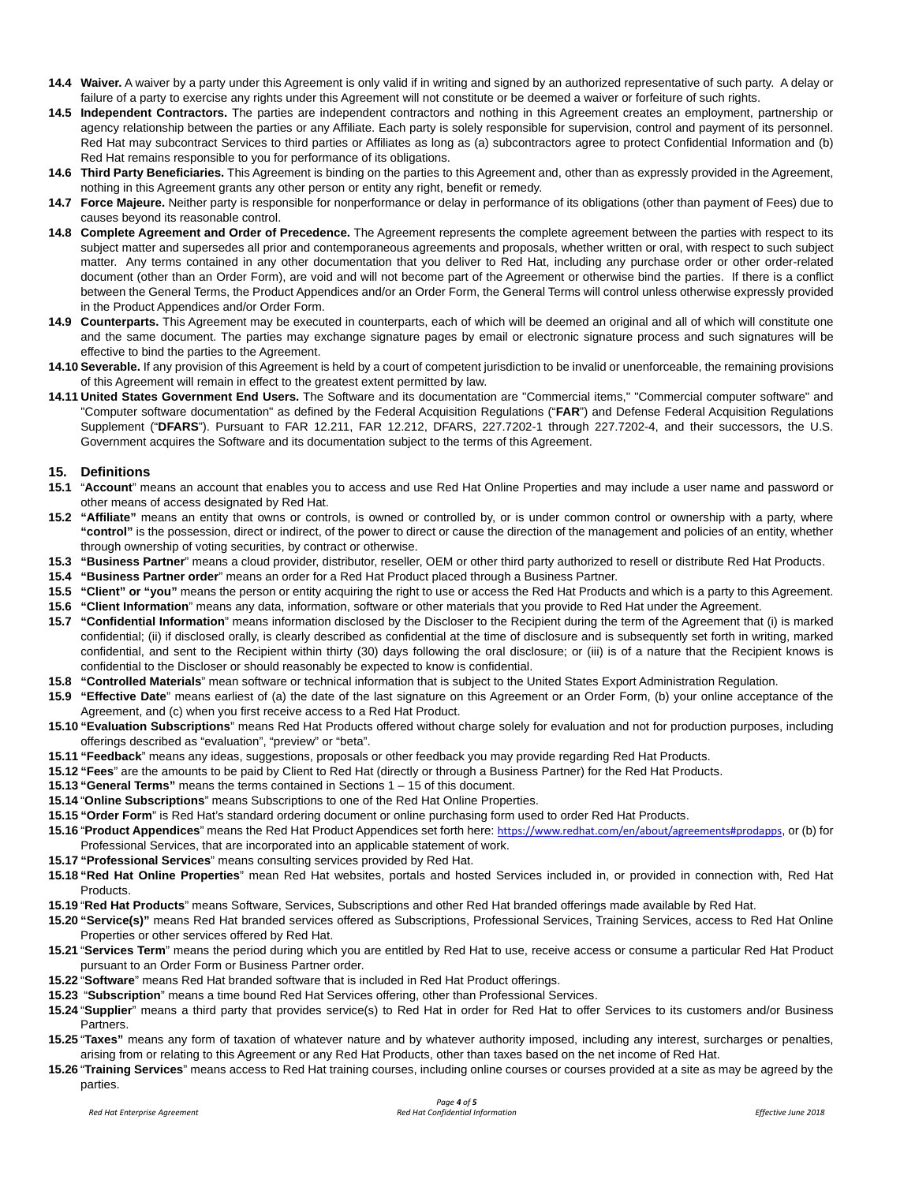- **14.4 Waiver.** A waiver by a party under this Agreement is only valid if in writing and signed by an authorized representative of such party. A delay or failure of a party to exercise any rights under this Agreement will not constitute or be deemed a waiver or forfeiture of such rights.
- **14.5 Independent Contractors.** The parties are independent contractors and nothing in this Agreement creates an employment, partnership or agency relationship between the parties or any Affiliate. Each party is solely responsible for supervision, control and payment of its personnel. Red Hat may subcontract Services to third parties or Affiliates as long as (a) subcontractors agree to protect Confidential Information and (b) Red Hat remains responsible to you for performance of its obligations.
- **14.6 Third Party Beneficiaries.** This Agreement is binding on the parties to this Agreement and, other than as expressly provided in the Agreement, nothing in this Agreement grants any other person or entity any right, benefit or remedy.
- **14.7 Force Majeure.** Neither party is responsible for nonperformance or delay in performance of its obligations (other than payment of Fees) due to causes beyond its reasonable control.
- **14.8 Complete Agreement and Order of Precedence.** The Agreement represents the complete agreement between the parties with respect to its subject matter and supersedes all prior and contemporaneous agreements and proposals, whether written or oral, with respect to such subject matter. Any terms contained in any other documentation that you deliver to Red Hat, including any purchase order or other order-related document (other than an Order Form), are void and will not become part of the Agreement or otherwise bind the parties. If there is a conflict between the General Terms, the Product Appendices and/or an Order Form, the General Terms will control unless otherwise expressly provided in the Product Appendices and/or Order Form.
- **14.9 Counterparts.** This Agreement may be executed in counterparts, each of which will be deemed an original and all of which will constitute one and the same document. The parties may exchange signature pages by email or electronic signature process and such signatures will be effective to bind the parties to the Agreement.
- 14.10 Severable. If any provision of this Agreement is held by a court of competent jurisdiction to be invalid or unenforceable, the remaining provisions of this Agreement will remain in effect to the greatest extent permitted by law.
- **14.11 United States Government End Users.** The Software and its documentation are "Commercial items," "Commercial computer software" and "Computer software documentation" as defined by the Federal Acquisition Regulations ("**FAR**") and Defense Federal Acquisition Regulations Supplement ("**DFARS**"). Pursuant to FAR 12.211, FAR 12.212, DFARS, 227.7202-1 through 227.7202-4, and their successors, the U.S. Government acquires the Software and its documentation subject to the terms of this Agreement.

#### **15. Definitions**

- **15.1** "**Account**" means an account that enables you to access and use Red Hat Online Properties and may include a user name and password or other means of access designated by Red Hat.
- **15.2 "Affiliate"** means an entity that owns or controls, is owned or controlled by, or is under common control or ownership with a party, where **"control"** is the possession, direct or indirect, of the power to direct or cause the direction of the management and policies of an entity, whether through ownership of voting securities, by contract or otherwise.
- **15.3 "Business Partner**" means a cloud provider, distributor, reseller, OEM or other third party authorized to resell or distribute Red Hat Products.
- **15.4 "Business Partner order**" means an order for a Red Hat Product placed through a Business Partner.
- **15.5 "Client" or "you"** means the person or entity acquiring the right to use or access the Red Hat Products and which is a party to this Agreement.
- **15.6 "Client Information**" means any data, information, software or other materials that you provide to Red Hat under the Agreement.
- **15.7 "Confidential Information**" means information disclosed by the Discloser to the Recipient during the term of the Agreement that (i) is marked confidential; (ii) if disclosed orally, is clearly described as confidential at the time of disclosure and is subsequently set forth in writing, marked confidential, and sent to the Recipient within thirty (30) days following the oral disclosure; or (iii) is of a nature that the Recipient knows is confidential to the Discloser or should reasonably be expected to know is confidential.
- **15.8 "Controlled Materials**" mean software or technical information that is subject to the United States Export Administration Regulation.
- **15.9 "Effective Date**" means earliest of (a) the date of the last signature on this Agreement or an Order Form, (b) your online acceptance of the Agreement, and (c) when you first receive access to a Red Hat Product.
- **15.10 "Evaluation Subscriptions**" means Red Hat Products offered without charge solely for evaluation and not for production purposes, including offerings described as "evaluation", "preview" or "beta".
- **15.11 "Feedback**" means any ideas, suggestions, proposals or other feedback you may provide regarding Red Hat Products.
- **15.12 "Fees**" are the amounts to be paid by Client to Red Hat (directly or through a Business Partner) for the Red Hat Products.
- **15.13 "General Terms"** means the terms contained in Sections 1 15 of this document.
- **15.14** "**Online Subscriptions**" means Subscriptions to one of the Red Hat Online Properties.
- **15.15 "Order Form**" is Red Hat's standard ordering document or online purchasing form used to order Red Hat Products.
- **15.16** "**Product Appendices**" means the Red Hat Product Appendices set forth here: <https://www.redhat.com/en/about/agreements#prodapps>, or (b) for Professional Services, that are incorporated into an applicable statement of work.
- **15.17 "Professional Services**" means consulting services provided by Red Hat.
- **15.18 "Red Hat Online Properties**" mean Red Hat websites, portals and hosted Services included in, or provided in connection with, Red Hat Products.
- **15.19** "**Red Hat Products**" means Software, Services, Subscriptions and other Red Hat branded offerings made available by Red Hat.
- **15.20 "Service(s)"** means Red Hat branded services offered as Subscriptions, Professional Services, Training Services, access to Red Hat Online Properties or other services offered by Red Hat.
- **15.21** "**Services Term**" means the period during which you are entitled by Red Hat to use, receive access or consume a particular Red Hat Product pursuant to an Order Form or Business Partner order.
- **15.22** "**Software**" means Red Hat branded software that is included in Red Hat Product offerings.
- **15.23** "**Subscription**" means a time bound Red Hat Services offering, other than Professional Services.
- **15.24** "**Supplier**" means a third party that provides service(s) to Red Hat in order for Red Hat to offer Services to its customers and/or Business Partners.
- **15.25** "**Taxes"** means any form of taxation of whatever nature and by whatever authority imposed, including any interest, surcharges or penalties, arising from or relating to this Agreement or any Red Hat Products, other than taxes based on the net income of Red Hat.
- **15.26** "**Training Services**" means access to Red Hat training courses, including online courses or courses provided at a site as may be agreed by the parties.